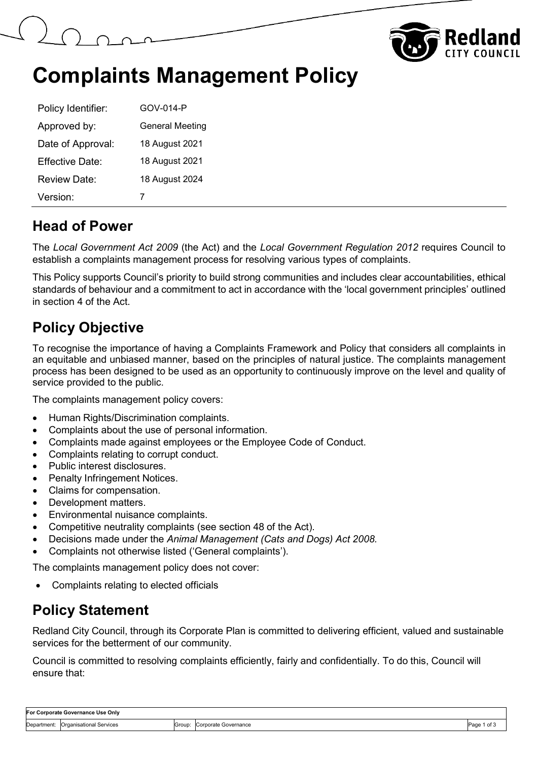



## **Complaints Management Policy**

| Policy Identifier:     | GOV-014-P              |
|------------------------|------------------------|
| Approved by:           | <b>General Meeting</b> |
| Date of Approval:      | 18 August 2021         |
| <b>Effective Date:</b> | 18 August 2021         |
| Review Date:           | 18 August 2024         |
| Version:               |                        |

#### **Head of Power**

The *Local Government Act 2009* (the Act) and the *Local Government Regulation 2012* requires Council to establish a complaints management process for resolving various types of complaints.

This Policy supports Council's priority to build strong communities and includes clear accountabilities, ethical standards of behaviour and a commitment to act in accordance with the 'local government principles' outlined in section 4 of the Act.

#### **Policy Objective**

To recognise the importance of having a Complaints Framework and Policy that considers all complaints in an equitable and unbiased manner, based on the principles of natural justice. The complaints management process has been designed to be used as an opportunity to continuously improve on the level and quality of service provided to the public.

The complaints management policy covers:

- Human Rights/Discrimination complaints.
- Complaints about the use of personal information.
- Complaints made against employees or the Employee Code of Conduct.
- Complaints relating to corrupt conduct.
- Public interest disclosures.
- Penalty Infringement Notices.
- Claims for compensation.
- Development matters.
- Environmental nuisance complaints.
- Competitive neutrality complaints (see section 48 of the Act).
- Decisions made under the *Animal Management (Cats and Dogs) Act 2008.*
- Complaints not otherwise listed ('General complaints').

The complaints management policy does not cover:

• Complaints relating to elected officials

#### **Policy Statement**

Redland City Council, through its Corporate Plan is committed to delivering efficient, valued and sustainable services for the betterment of our community.

Council is committed to resolving complaints efficiently, fairly and confidentially. To do this, Council will ensure that:

| For Corporate Governance Use Only |                         |                    |                      |      |
|-----------------------------------|-------------------------|--------------------|----------------------|------|
| Department:                       | Organisational Services | Group <sup>-</sup> | Corporate Governance | Page |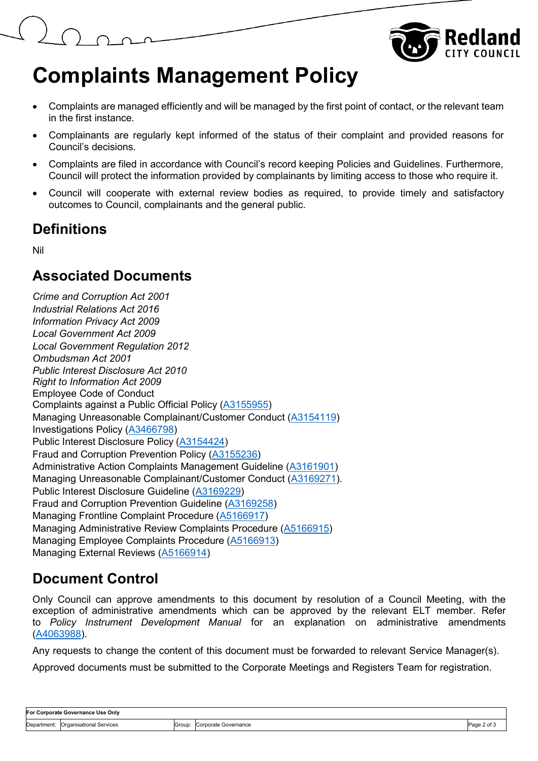

# **Complaints Management Policy**

- Complaints are managed efficiently and will be managed by the first point of contact, or the relevant team in the first instance.
- Complainants are regularly kept informed of the status of their complaint and provided reasons for Council's decisions.
- Complaints are filed in accordance with Council's record keeping Policies and Guidelines. Furthermore, Council will protect the information provided by complainants by limiting access to those who require it.
- Council will cooperate with external review bodies as required, to provide timely and satisfactory outcomes to Council, complainants and the general public.

#### **Definitions**

Nil

#### **Associated Documents**

*Crime and Corruption Act 2001 Industrial Relations Act 2016 Information Privacy Act 2009 Local Government Act 2009 Local Government Regulation 2012 Ombudsman Act 2001 Public Interest Disclosure Act 2010 Right to Information Act 2009* Employee Code of Conduct Complaints against a Public Official Policy (A3155955) Managing Unreasonable Complainant/Customer Conduct (A3154119) Investigations Policy (A3466798) Public Interest Disclosure Policy (A3154424) Fraud and Corruption Prevention Policy (A3155236) Administrative Action Complaints Management Guideline (A3161901) Managing Unreasonable Complainant/Customer Conduct (A3169271). Public Interest Disclosure Guideline (A3169229) Fraud and Corruption Prevention Guideline (A3169258) Managing Frontline Complaint Procedure (A5166917) Managing Administrative Review Complaints Procedure (A5166915) Managing Employee Complaints Procedure (A5166913) Managing External Reviews (A5166914)

### **Document Control**

Only Council can approve amendments to this document by resolution of a Council Meeting, with the exception of administrative amendments which can be approved by the relevant ELT member. Refer to *Policy Instrument Development Manual* for an explanation on administrative amendments (A4063988).

Any requests to change the content of this document must be forwarded to relevant Service Manager(s).

Approved documents must be submitted to the Corporate Meetings and Registers Team for registration.

| For Corporate Governance Use Only |                                     |        |                      |                  |
|-----------------------------------|-------------------------------------|--------|----------------------|------------------|
|                                   | Department: Organisational Services | Group: | Corporate Governance | Page 2 of $\sim$ |